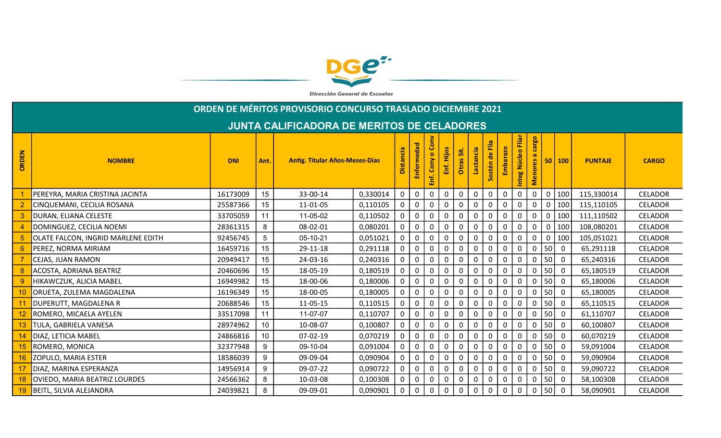

Dirección General de Escuelas

|                                                   | ORDEN DE MÉRITOS PROVISORIO CONCURSO TRASLADO DICIEMBRE 2021 |            |      |                                       |          |              |              |                  |              |              |              |                 |              |                      |                    |              |                         |                |                |
|---------------------------------------------------|--------------------------------------------------------------|------------|------|---------------------------------------|----------|--------------|--------------|------------------|--------------|--------------|--------------|-----------------|--------------|----------------------|--------------------|--------------|-------------------------|----------------|----------------|
| <b>JUNTA CALIFICADORA DE MERITOS DE CELADORES</b> |                                                              |            |      |                                       |          |              |              |                  |              |              |              |                 |              |                      |                    |              |                         |                |                |
| 룹<br>ORDI                                         | <b>NOMBRE</b>                                                | <b>DNI</b> | Ant. | <b>Antig. Titular Años-Meses-Días</b> |          |              |              | $\bullet$        | Hijos        | sit.         | Lactancia    | de Flia<br>stén | barazo       | Eliar<br>Núcleo<br>Ē | cargo<br>ores<br>Ž |              | 50   100                | <b>PUNTAJE</b> | <b>CARGO</b>   |
|                                                   | PEREYRA, MARIA CRISTINA JACINTA                              | 16173009   | 15   | 33-00-14                              | 0,330014 | $\mathbf{0}$ | 0            | 0                | 0            | 0            | $\Omega$     | $\mathbf{0}$    |              | $\Omega$             | 0                  | $\Omega$     | 100                     | 115,330014     | <b>CELADOR</b> |
|                                                   | CINQUEMANI, CECILIA ROSANA                                   | 25587366   | 15   | 11-01-05                              | 0,110105 | $\mathbf 0$  | $\mathsf{O}$ | $\mathbf 0$      | $\mathbf 0$  | $\mathbf{0}$ | $\Omega$     | $\mathbf 0$     | $\mathbf{0}$ | $\mathbf 0$          | $\mathbf{0}$       | $\mathbf 0$  | 100                     | 115,110105     | <b>CELADOR</b> |
|                                                   | DURAN, ELIANA CELESTE                                        | 33705059   | 11   | 11-05-02                              | 0,110502 | $\mathbf 0$  | $\mathbf 0$  | $\boldsymbol{0}$ | $\mathbf 0$  | $\mathbf 0$  | $\pmb{0}$    | $\mathbf 0$     | $\mathbf 0$  | $\mathbf 0$          | $\mathbf 0$        | $\mathbf 0$  | 100                     | 111,110502     | <b>CELADOR</b> |
|                                                   | DOMINGUEZ, CECILIA NOEMI                                     | 28361315   | 8    | 08-02-01                              | 0,080201 | $\mathbf{0}$ | 0            | 0                | 0            | $\Omega$     | $\Omega$     | $\mathbf{0}$    | $\mathbf 0$  | $\Omega$             | 0                  | $\mathbf{0}$ | 100                     | 108,080201     | <b>CELADOR</b> |
|                                                   | OLATE FALCON, INGRID MARLENE EDITH                           | 92456745   | 5    | 05-10-21                              | 0,051021 |              | 0            | $\Omega$         | O            |              | O            | $\Omega$        |              |                      |                    | $\Omega$     | 100                     | 105,051021     | <b>CELADOR</b> |
|                                                   | PEREZ, NORMA MIRIAM                                          | 16459716   | 15   | 29-11-18                              | 0,291118 | $\mathbf 0$  | $\mathbf 0$  | 0                | $\mathbf 0$  | 0            | $\Omega$     | 0               | 0            | $\mathbf 0$          | 0                  | 50           | $\overline{0}$          | 65,291118      | <b>CELADOR</b> |
|                                                   | CEJAS, JUAN RAMON                                            | 20949417   | 15   | 24-03-16                              | 0,240316 | $\mathbf 0$  | $\mathsf{O}$ | 0                | $\mathbf 0$  | $\mathbf 0$  | 0            | $\mathbf 0$     | $\mathbf 0$  | $\mathbf 0$          | $\mathbf{0}$       | 50           | $\mathbf 0$             | 65,240316      | <b>CELADOR</b> |
|                                                   | ACOSTA, ADRIANA BEATRIZ                                      | 20460696   | 15   | 18-05-19                              | 0,180519 |              | 0            | 0                | 0            |              | $\Omega$     | 0               | $\mathbf 0$  | $\Omega$             | 0                  | 50           | $\overline{0}$          | 65,180519      | <b>CELADOR</b> |
|                                                   | HIKAWCZUK, ALICIA MABEL                                      | 16949982   | 15   | 18-00-06                              | 0,180006 |              | $\mathbf{0}$ | $\Omega$         | $\Omega$     |              | $\Omega$     | $\Omega$        |              |                      |                    | 50           | $\Omega$                | 65,180006      | <b>CELADOR</b> |
|                                                   | ORUETA, ZULEMA MAGDALENA                                     | 16196349   | 15   | 18-00-05                              | 0,180005 | $\mathbf{0}$ | 0            | $\mathbf 0$      | 0            | 0            | 0            | 0               | $\mathbf 0$  | $\Omega$             | $\Omega$           | 50           | $\overline{0}$          | 65,180005      | <b>CELADOR</b> |
|                                                   | DUPERUTT, MAGDALENA R                                        | 20688546   | 15   | 11-05-15                              | 0,110515 | $\mathbf 0$  | $\mathsf{O}$ | 0                | 0            | 0            | 0            | $\mathbf 0$     | $\mathbf 0$  | 0                    | $\mathbf{0}$       | 50           | $\overline{0}$          | 65,110515      | <b>CELADOR</b> |
|                                                   | ROMERO, MICAELA AYELEN                                       | 33517098   | 11   | 11-07-07                              | 0,110707 | 0            | 0            | 0                | 0            |              | $\Omega$     | 0               | $\Omega$     | 0                    | 0                  | 50           | $\overline{0}$          | 61,110707      | <b>CELADOR</b> |
|                                                   | TULA, GABRIELA VANESA                                        | 28974962   | 10   | 10-08-07                              | 0,100807 |              | 0            | $\mathbf 0$      | 0            |              | $\Omega$     | 0               |              |                      |                    | 50           | $\overline{0}$          | 60,100807      | <b>CELADOR</b> |
| 14                                                | DIAZ, LETICIA MABEL                                          | 24866816   | 10   | 07-02-19                              | 0,070219 | $\mathbf 0$  | $\mathbf 0$  | 0                | $\mathbf 0$  | 0            | $\Omega$     | 0               | $\mathbf{0}$ | $\Omega$             | $\mathbf{0}$       | 50           | $\overline{0}$          | 60,070219      | <b>CELADOR</b> |
| 15                                                | ROMERO, MONICA                                               | 32377948   | 9    | 09-10-04                              | 0,091004 | $\mathbf 0$  | $\mathbf 0$  | 0                | 0            | 0            | 0            | 0               | $\mathbf{0}$ | 0                    | 0                  | 50           | $\overline{0}$          | 59,091004      | <b>CELADOR</b> |
| 16                                                | ZOPULO, MARIA ESTER                                          | 18586039   | 9    | 09-09-04                              | 0,090904 |              | 0            | $\Omega$         | $\mathbf{0}$ |              |              | $\mathbf{0}$    |              |                      |                    | 50           | $\overline{\mathbf{0}}$ | 59,090904      | <b>CELADOR</b> |
|                                                   | DIAZ, MARINA ESPERANZA                                       | 14956914   | 9    | 09-07-22                              | 0,090722 | $\mathbf 0$  | $\mathbf 0$  | 0                | 0            |              | $\Omega$     | 0               |              | $\mathbf{0}$         | $\Omega$           | 50           | $\overline{0}$          | 59,090722      | <b>CELADOR</b> |
| 18                                                | OVIEDO, MARIA BEATRIZ LOURDES                                | 24566362   | 8    | 10-03-08                              | 0,100308 | $\mathbf 0$  | $\mathsf{O}$ | $\mathbf{0}$     | $\mathbf 0$  | $\mathbf{0}$ | $\mathbf{0}$ | $\mathbf 0$     | $\mathbf 0$  | $\Omega$             | $\mathbf{0}$       | 50           | $\overline{0}$          | 58,100308      | <b>CELADOR</b> |
| 19                                                | BEITL, SILVIA ALEJANDRA                                      | 24039821   | 8    | 09-09-01                              | 0,090901 | $\mathbf 0$  | $\mathsf{O}$ | $\mathbf 0$      | $\mathbf 0$  | 0            | 0            | $\mathbf 0$     | $\mathbf 0$  | 0                    | $\overline{0}$     | 50           | $\overline{0}$          | 58,090901      | <b>CELADOR</b> |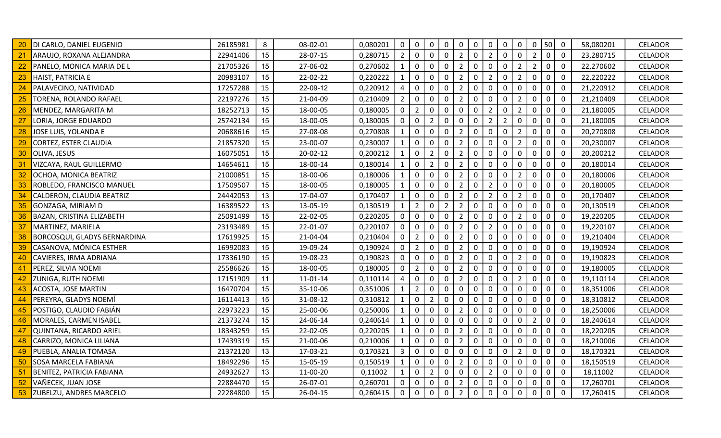|    | DI CARLO, DANIEL EUGENIO            | 26185981 | 8  | 08-02-01 | 0,080201 | $\mathbf 0$    | $\mathbf 0$    | $\mathbf 0$    | $\mathbf 0$    | $\mathbf 0$    | $\mathbf 0$  | $\mathbf 0$    | $\mathbf 0$    | $\mathsf 0$    | $\mathbf 0$  | 50          | $\overline{0}$ | 58,080201 | <b>CELADOR</b> |
|----|-------------------------------------|----------|----|----------|----------|----------------|----------------|----------------|----------------|----------------|--------------|----------------|----------------|----------------|--------------|-------------|----------------|-----------|----------------|
| 21 | ARAUJO, ROXANA ALEJANDRA            | 22941406 | 15 | 28-07-15 | 0,280715 | $\overline{2}$ | $\mathbf{0}$   | $\mathbf 0$    | $\mathbf 0$    | $\overline{2}$ | $\Omega$     | $\overline{2}$ | $\mathbf 0$    | $\mathbf 0$    | $2^{\circ}$  | $\mathbf 0$ | $\mathbf 0$    | 23,280715 | <b>CELADOR</b> |
|    | PANELO, MONICA MARIA DE L           | 21705326 | 15 | 27-06-02 | 0,270602 | $\mathbf{1}$   | $\mathbf{0}$   | $\mathbf 0$    | $\mathbf 0$    | $\overline{2}$ | 0            | $\mathbf 0$    | $\mathbf 0$    | $\overline{2}$ | $2^{\circ}$  | $\mathbf 0$ | $\mathbf 0$    | 22,270602 | CELADOR        |
| 23 | HAIST, PATRICIA E                   | 20983107 | 15 | 22-02-22 | 0,220222 | $\mathbf{1}$   | 0              | $\mathbf 0$    | 0              | $\overline{2}$ | $\Omega$     | $\overline{2}$ | 0              | $\overline{2}$ | $\mathbf 0$  | $\mathbf 0$ | $\Omega$       | 22,220222 | <b>CELADOR</b> |
|    | PALAVECINO, NATIVIDAD               | 17257288 | 15 | 22-09-12 | 0,220912 | 4              | 0              | $\mathbf 0$    | $\mathbf 0$    | $\overline{2}$ | 0            | $\mathbf 0$    | $\mathbf 0$    | $\mathbf 0$    | $\mathbf 0$  | $\mathbf 0$ | $\mathbf 0$    | 21,220912 | CELADOR        |
| 25 | TORENA, ROLANDO RAFAEL              | 22197276 | 15 | 21-04-09 | 0,210409 | $\overline{2}$ | $\mathbf{0}$   | $\mathbf 0$    | $\mathbf 0$    | $\overline{2}$ | 0            | $\mathbf 0$    | $\mathbf 0$    | $\overline{2}$ | $\mathbf 0$  | $\mathbf 0$ | $\mathbf 0$    | 21,210409 | <b>CELADOR</b> |
| 26 | MENDEZ, MARGARITA M                 | 18252713 | 15 | 18-00-05 | 0,180005 | 0              | $2^{\circ}$    | $\mathbf 0$    | $\mathbf 0$    | 0              | 0            | $\overline{2}$ | 0              | $\overline{2}$ | $\mathbf 0$  | $\mathbf 0$ | 0              | 21,180005 | <b>CELADOR</b> |
| 27 | LORIA, JORGE EDUARDO                | 25742134 | 15 | 18-00-05 | 0,180005 | 0              | 0              | $\overline{2}$ | 0              | 0              | $\mathbf 0$  | $\overline{2}$ | $\overline{2}$ | 0              | $\mathbf 0$  | $\mathbf 0$ | $\Omega$       | 21,180005 | <b>CELADOR</b> |
| 28 | JOSE LUIS, YOLANDA E                | 20688616 | 15 | 27-08-08 | 0,270808 | $\mathbf{1}$   | $\mathbf 0$    | $\mathbf 0$    | 0              | $\overline{2}$ | 0            | $\mathbf 0$    | $\mathbf 0$    | $\overline{2}$ | $\mathbf 0$  | $\mathbf 0$ | $\mathbf{0}$   | 20,270808 | <b>CELADOR</b> |
| 29 | CORTEZ, ESTER CLAUDIA               | 21857320 | 15 | 23-00-07 | 0,230007 | $\mathbf{1}$   | $\overline{0}$ | $\mathbf 0$    | $\mathbf 0$    | $\overline{2}$ | 0            | $\mathbf 0$    | $\mathbf 0$    | $\overline{2}$ | $\mathbf 0$  | $\mathbf 0$ | $\mathbf 0$    | 20,230007 | <b>CELADOR</b> |
| 30 | <b>OLIVA, JESUS</b>                 | 16075051 | 15 | 20-02-12 | 0,200212 | $\mathbf{1}$   | 0              | $\overline{2}$ | $\mathbf 0$    | $\overline{2}$ | 0            | $\mathbf 0$    | 0              | $\pmb{0}$      | $\mathbf 0$  | $\mathbf 0$ | 0              | 20,200212 | CELADOR        |
| 31 | VIZCAYA, RAUL GUILLERMO             | 14654611 | 15 | 18-00-14 | 0,180014 | $\mathbf{1}$   | 0              | $\overline{2}$ | 0              | $\overline{2}$ | $\Omega$     | $\mathbf{0}$   | 0              | 0              | $\mathbf 0$  | $\mathbf 0$ | $\Omega$       | 20,180014 | <b>CELADOR</b> |
|    | OCHOA, MONICA BEATRIZ               | 21000851 | 15 | 18-00-06 | 0,180006 | 1              | $\mathbf{0}$   | $\mathbf 0$    | $\mathbf 0$    | $\overline{2}$ | $\Omega$     | $\mathbf 0$    | $\mathbf 0$    | $\overline{2}$ | $\mathbf 0$  | $\mathbf 0$ | $\Omega$       | 20,180006 | CELADOR        |
| 33 | <b>ROBLEDO, FRANCISCO MANUEL</b>    | 17509507 | 15 | 18-00-05 | 0,180005 | 1              | $\overline{0}$ | $\mathbf 0$    | $\mathbf 0$    | $\overline{2}$ | $\mathbf{0}$ | $\overline{2}$ | $\mathbf{0}$   | $\mathbf 0$    | $\mathbf 0$  | $\mathbf 0$ | $\mathbf 0$    | 20,180005 | <b>CELADOR</b> |
| 34 | CALDERON, CLAUDIA BEATRIZ           | 24442053 | 13 | 17-04-07 | 0,170407 | $\mathbf{1}$   | $\overline{0}$ | $\mathbf 0$    | $\mathbf 0$    | $\overline{2}$ | $\mathbf 0$  | $\overline{2}$ | $\mathbf 0$    | $\overline{2}$ | $\mathbf 0$  | $\mathbf 0$ | $\mathbf 0$    | 20,170407 | <b>CELADOR</b> |
| 35 | GONZAGA, MIRIAM D                   | 16389522 | 13 | 13-05-19 | 0,130519 | $\mathbf{1}$   | 2 <sup>1</sup> | $\overline{0}$ | $\overline{2}$ | $\overline{2}$ | $\mathbf 0$  | $\mathbf 0$    | $\mathbf 0$    | $\mathbf 0$    | $\mathbf 0$  | $\mathbf 0$ | $\mathbf 0$    | 20,130519 | <b>CELADOR</b> |
| 36 | BAZAN, CRISTINA ELIZABETH           | 25091499 | 15 | 22-02-05 | 0,220205 | 0              | $\mathbf{0}$   | $\mathbf 0$    | $\mathbf 0$    | $\overline{2}$ | 0            | 0              | 0              | $\overline{2}$ | $\mathbf 0$  | $\mathbf 0$ | 0              | 19,220205 | <b>CELADOR</b> |
| 37 | MARTINEZ, MARIELA                   | 23193489 | 15 | 22-01-07 | 0,220107 | 0              | 0              | $\mathbf 0$    | 0              | $\overline{2}$ | $\Omega$     | $\overline{2}$ | 0              | 0              | 0            | $\mathbf 0$ | 0              | 19,220107 | <b>CELADOR</b> |
| 38 | <b>BORCOSQUI, GLADYS BERNARDINA</b> | 17619925 | 15 | 21-04-04 | 0,210404 | 0              | $2^{\circ}$    | $\mathbf 0$    | $\mathbf{0}$   | $\overline{2}$ | $\Omega$     | $\Omega$       | $\mathbf{0}$   | $\mathbf{0}$   | 0            | $\mathbf 0$ | $\mathbf{0}$   | 19,210404 | CELADOR        |
| 39 | CASANOVA, MÓNICA ESTHER             | 16992083 | 15 | 19-09-24 | 0,190924 | 0              | 2              | $\mathbf 0$    | $\mathbf 0$    | $\overline{2}$ | 0            | $\mathbf 0$    | $\mathbf 0$    | $\mathbf 0$    | $\mathbf 0$  | $\mathbf 0$ | $\mathbf 0$    | 19,190924 | <b>CELADOR</b> |
| 40 | CAVIERES, IRMA ADRIANA              | 17336190 | 15 | 19-08-23 | 0,190823 | 0              | $\mathbf 0$    | $\mathbf 0$    | $\mathbf 0$    | $\overline{2}$ | $\mathbf{0}$ | $\mathbf 0$    | 0              | $\overline{2}$ | $\mathbf 0$  | $\mathbf 0$ | $\mathbf 0$    | 19,190823 | <b>CELADOR</b> |
| 41 | PEREZ, SILVIA NOEMI                 | 25586626 | 15 | 18-00-05 | 0,180005 | 0              | 2 <sup>1</sup> | $\mathbf 0$    | $\mathbf 0$    | $\overline{2}$ | $\mathbf{0}$ | $\mathbf 0$    | $\mathbf{0}$   | $\mathbf 0$    | $\mathbf 0$  | $\mathbf 0$ | $\mathbf{0}$   | 19,180005 | <b>CELADOR</b> |
| 42 | <b>ZUNIGA, RUTH NOEMI</b>           | 17151909 | 11 | 11-01-14 | 0,110114 | 4              | $\mathbf 0$    | $\overline{0}$ | $\mathbf 0$    | $\overline{2}$ | 0            | $\mathbf 0$    | 0              | $\overline{2}$ | $\mathbf 0$  | $\mathbf 0$ | 0              | 19,110114 | CELADOR        |
| 43 | ACOSTA, JOSE MARTIN                 | 16470704 | 15 | 35-10-06 | 0,351006 | $\mathbf{1}$   | $2^{\circ}$    | $\mathbf 0$    | 0              | 0              | $\Omega$     | $\mathbf 0$    | 0              | $\mathbf 0$    | $\mathbf 0$  | $\mathbf 0$ | 0              | 18,351006 | <b>CELADOR</b> |
| 44 | PEREYRA, GLADYS NOEMÍ               | 16114413 | 15 | 31-08-12 | 0,310812 | 1              | 0              | $\overline{2}$ | 0              | 0              | $\Omega$     | 0              | 0              | 0              | 0            | $\mathbf 0$ | 0              | 18,310812 | <b>CELADOR</b> |
| 45 | POSTIGO, CLAUDIO FABIÁN             | 22973223 | 15 | 25-00-06 | 0,250006 | $\mathbf{1}$   | $\mathbf{0}$   | $\overline{0}$ | $\mathbf 0$    | $\overline{2}$ | $\Omega$     | $\mathbf 0$    | $\mathbf 0$    | $\mathbf 0$    | $\mathbf 0$  | $\mathbf 0$ | $\Omega$       | 18,250006 | CELADOR        |
| 46 | MORALES, CARMEN ISABEL              | 21373274 | 15 | 24-06-14 | 0,240614 | 1              | $\mathbf{0}$   | $\mathbf 0$    | $\mathbf 0$    | 0              | $\mathbf{0}$ | $\mathbf 0$    | $\mathbf{0}$   | $\mathbf 0$    | $2^{\circ}$  | $\mathbf 0$ | $\mathbf 0$    | 18,240614 | <b>CELADOR</b> |
| 47 | QUINTANA, RICARDO ARIEL             | 18343259 | 15 | 22-02-05 | 0,220205 | $\mathbf{1}$   | $\mathbf 0$    | $\mathbf 0$    | $\mathbf 0$    | $\overline{2}$ | 0            | $\mathbf 0$    | 0              | $\mathbf 0$    | $\mathbf 0$  | $\mathbf 0$ | $\mathbf 0$    | 18,220205 | <b>CELADOR</b> |
| 48 | CARRIZO, MONICA LILIANA             | 17439319 | 15 | 21-00-06 | 0,210006 | $\mathbf{1}$   | $\overline{0}$ | $\mathbf 0$    | $\mathbf 0$    | $\overline{2}$ | $\mathbf 0$  | $\mathbf 0$    | $\mathbf 0$    | $\mathbf 0$    | $\mathbf 0$  | $\mathbf 0$ | $\mathbf 0$    | 18,210006 | <b>CELADOR</b> |
| 49 | PUEBLA, ANALIA TOMASA               | 21372120 | 13 | 17-03-21 | 0,170321 | 3              | $\mathbf{0}$   | $\mathbf 0$    | $\mathbf 0$    | $\mathbf 0$    | 0            | $\mathbf 0$    | 0              | $\overline{2}$ | $\mathsf{O}$ | $\mathbf 0$ | 0              | 18,170321 | <b>CELADOR</b> |
| 50 | <b>SOSA MARCELA FABIANA</b>         | 18492296 | 15 | 15-05-19 | 0,150519 | $\mathbf{1}$   | $\mathbf{0}$   | $\mathbf 0$    | 0              | $\overline{2}$ | 0            | $\mathbf 0$    | 0              | 0              | $\mathbf 0$  | $\mathbf 0$ | 0              | 18,150519 | <b>CELADOR</b> |
| 51 | BENITEZ, PATRICIA FABIANA           | 24932627 | 13 | 11-00-20 | 0,11002  | $\mathbf{1}$   | 0              | $\overline{2}$ | 0              | 0              | 0            | $\overline{2}$ | 0              | 0              | 0            | $\mathbf 0$ | $\mathbf{0}$   | 18,11002  | <b>CELADOR</b> |
| 52 | VAÑECEK, JUAN JOSE                  | 22884470 | 15 | 26-07-01 | 0,260701 | 0              | $\mathbf{0}$   | $\mathbf 0$    | $\mathbf 0$    | $\overline{2}$ | 0            | $\mathbf 0$    | 0              | $\mathbf 0$    | $\mathbf 0$  | $\mathbf 0$ | $\mathbf 0$    | 17,260701 | CELADOR        |
| 53 | <b>ZUBELZU, ANDRES MARCELO</b>      | 22284800 | 15 | 26-04-15 | 0,260415 | $\mathbf 0$    | $\mathbf{0}$   | $\mathbf 0$    | $\mathbf 0$    | $\overline{2}$ | 0            | $\mathbf 0$    | $\mathbf 0$    | $\mathbf 0$    | $\mathbf 0$  | $\mathbf 0$ | $\mathbf 0$    | 17,260415 | <b>CELADOR</b> |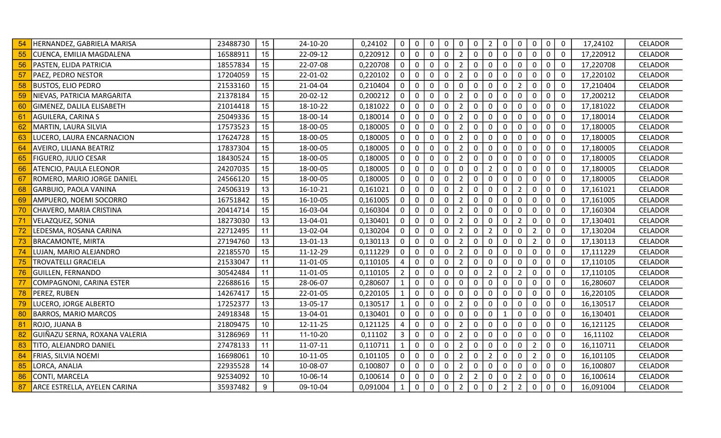|    | HERNANDEZ, GABRIELA MARISA    | 23488730 | 15              | 24-10-20       | 0,24102  | $\mathbf 0$    | 0            | 0            | $\mathbf 0$  | 0              | 0              | $\overline{2}$ | $\mathbf 0$         | 0              | 0              | $\mathbf 0$ | $\mathbf 0$    | 17,24102  | <b>CELADOR</b> |
|----|-------------------------------|----------|-----------------|----------------|----------|----------------|--------------|--------------|--------------|----------------|----------------|----------------|---------------------|----------------|----------------|-------------|----------------|-----------|----------------|
| 55 | CUENCA, EMILIA MAGDALENA      | 16588911 | 15              | 22-09-12       | 0,220912 | $\mathbf 0$    | $\mathbf 0$  | $\Omega$     | $\Omega$     | $\overline{2}$ | $\mathbf{0}$   | $\mathbf 0$    | $\mathbf{0}$        | $\mathbf{0}$   | $\Omega$       | $\mathbf 0$ | $\mathbf 0$    | 17,220912 | <b>CELADOR</b> |
| 56 | PASTEN, ELIDA PATRICIA        | 18557834 | 15              | 22-07-08       | 0,220708 | $\mathbf 0$    | $\mathbf 0$  | $\mathbf 0$  | $\mathbf 0$  | $\overline{2}$ | 0              | $\mathbf 0$    | $\mathbf 0$         | $\mathbf 0$    | $\mathbf 0$    | $\mathbf 0$ | $\mathbf 0$    | 17,220708 | <b>CELADOR</b> |
| 57 | <b>PAEZ, PEDRO NESTOR</b>     | 17204059 | 15              | 22-01-02       | 0,220102 | $\mathbf 0$    | $\mathbf 0$  | $\Omega$     | 0            | $\overline{2}$ | 0              | $\mathbf 0$    | $\mathbf 0$         | 0              | 0              | 0           | 0              | 17,220102 | <b>CELADOR</b> |
| 58 | <b>BUSTOS, ELIO PEDRO</b>     | 21533160 | 15              | 21-04-04       | 0,210404 | $\mathbf 0$    | 0            | $\Omega$     | $\mathbf{0}$ | 0              | 0              | $\mathbf 0$    | $\mathbf{0}$        | $\overline{2}$ | 0              | $\mathbf 0$ | $\mathbf{0}$   | 17,210404 | <b>CELADOR</b> |
| 59 | NIEVAS, PATRICIA MARGARITA    | 21378184 | 15              | 20-02-12       | 0,200212 | $\mathbf 0$    | 0            | 0            | $\mathbf{0}$ | $\overline{2}$ | 0              | $\mathbf 0$    | $\mathbf{0}$        | $\Omega$       | 0              | $\mathbf 0$ | $\mathbf 0$    | 17,200212 | <b>CELADOR</b> |
| 60 | GIMENEZ, DALILA ELISABETH     | 21014418 | 15              | 18-10-22       | 0,181022 | $\mathbf 0$    | 0            | $\mathbf 0$  | $\mathbf 0$  | $\overline{2}$ | 0              | $\mathbf 0$    | $\mathbf 0$         | 0              | 0              | $\mathbf 0$ | $\mathbf 0$    | 17,181022 | <b>CELADOR</b> |
| 61 | AGUILERA, CARINA S            | 25049336 | 15              | 18-00-14       | 0,180014 | $\mathbf 0$    | $\mathbf 0$  | 0            | $\mathbf 0$  | $\overline{2}$ | 0              | $\mathbf 0$    | $\mathbf 0$         | $\mathbf 0$    | $\mathbf 0$    | $\mathbf 0$ | $\mathbf 0$    | 17,180014 | <b>CELADOR</b> |
| 62 | MARTIN, LAURA SILVIA          | 17573523 | 15              | 18-00-05       | 0,180005 | $\mathbf 0$    | $\mathbf 0$  | $\mathbf 0$  | $\mathbf 0$  | $\overline{2}$ | 0              | $\mathbf 0$    | $\mathbf 0$         | $\mathbf 0$    | 0              | $\mathbf 0$ | $\mathbf 0$    | 17,180005 | <b>CELADOR</b> |
| 63 | LUCERO, LAURA ENCARNACION     | 17624728 | 15              | 18-00-05       | 0,180005 | $\mathbf 0$    | 0            | $\Omega$     | 0            | 2              | 0              | $\mathbf 0$    | 0                   | 0              | 0              | $\mathbf 0$ | $\overline{0}$ | 17,180005 | <b>CELADOR</b> |
| 64 | AVEIRO, LILIANA BEATRIZ       | 17837304 | 15              | 18-00-05       | 0,180005 | $\mathbf 0$    | 0            | 0            | $\mathbf{0}$ | $\overline{2}$ | 0              | $\mathbf 0$    | $\mathbf 0$         | 0              | 0              | $\mathbf 0$ | $\overline{0}$ | 17,180005 | <b>CELADOR</b> |
| 65 | FIGUERO, JULIO CESAR          | 18430524 | 15              | 18-00-05       | 0,180005 | $\mathbf 0$    | $\mathsf{O}$ | 0            | $\mathbf 0$  | $\overline{2}$ | 0              | $\mathbf 0$    | $\mathbf 0$         | $\mathbf 0$    | 0              | $\mathbf 0$ | $\overline{0}$ | 17,180005 | <b>CELADOR</b> |
| 66 | ATENCIO, PAULA ELEONOR        | 24207035 | 15              | 18-00-05       | 0,180005 | $\mathbf 0$    | 0            | $\Omega$     | $\mathbf 0$  | 0              | 0              | $\overline{2}$ | $\mathbf 0$         | 0              | 0              | $\mathbf 0$ | $\mathbf 0$    | 17,180005 | <b>CELADOR</b> |
| 67 | ROMERO, MARIO JORGE DANIEL    | 24566120 | 15              | 18-00-05       | 0,180005 | $\mathbf 0$    | $\mathbf 0$  | $\mathbf 0$  | $\mathbf 0$  | $\overline{2}$ | $\mathbf{0}$   | $\mathbf 0$    | $\mathbf 0$         | $\mathbf 0$    | 0              | $\mathbf 0$ | $\overline{0}$ | 17,180005 | <b>CELADOR</b> |
| 68 | GARBUIO, PAOLA VANINA         | 24506319 | 13              | 16-10-21       | 0,161021 | $\mathbf 0$    | $\mathbf 0$  | 0            | $\mathbf 0$  | $\overline{2}$ | 0              | $\mathbf 0$    | $\mathbf 0$         | $\overline{2}$ | 0              | $\mathbf 0$ | $\overline{0}$ | 17,161021 | <b>CELADOR</b> |
| 69 | AMPUERO, NOEMI SOCORRO        | 16751842 | 15              | 16-10-05       | 0,161005 | $\mathbf 0$    | 0            | $\mathbf 0$  | 0            | $\overline{2}$ | 0              | $\mathbf 0$    | 0                   | 0              | 0              | $\mathbf 0$ | 0              | 17,161005 | <b>CELADOR</b> |
|    | CHAVERO, MARIA CRISTINA       | 20414714 | 15              | 16-03-04       | 0,160304 | $\mathbf 0$    | $\mathbf 0$  | 0            | $\mathbf 0$  | $\overline{2}$ | $\mathbf{0}$   | $\mathbf 0$    | $\mathbf 0$         | $\mathbf{0}$   | 0              | $\mathbf 0$ | $\mathbf 0$    | 17,160304 | <b>CELADOR</b> |
| 71 | <b>VELAZQUEZ, SONIA</b>       | 18273030 | 13              | 13-04-01       | 0,130401 | $\mathbf 0$    | 0            | $\Omega$     | $\mathbf 0$  | $\overline{2}$ | 0              | $\mathbf 0$    | $\mathbf 0$         | $\overline{2}$ | 0              | $\mathbf 0$ | $\mathbf 0$    | 17,130401 | <b>CELADOR</b> |
| 72 | LEDESMA, ROSANA CARINA        | 22712495 | 11              | 13-02-04       | 0,130204 | $\mathbf 0$    | 0            | 0            | $\mathbf 0$  | $\overline{2}$ | 0              | $2^{\circ}$    | $\mathbf 0$         | $\mathbf 0$    | $\overline{2}$ | $\mathbf 0$ | $\overline{0}$ | 17,130204 | <b>CELADOR</b> |
| 73 | <b>BRACAMONTE, MIRTA</b>      | 27194760 | 13              | 13-01-13       | 0,130113 | $\mathbf 0$    | $\mathbf 0$  | $\mathbf 0$  | $\mathbf 0$  | $\overline{2}$ | 0              | $\mathbf 0$    | $\mathbf 0$         | $\mathbf 0$    | $2^{\circ}$    | $\pmb{0}$   | $\mathbf 0$    | 17,130113 | <b>CELADOR</b> |
| 74 | LUJAN, MARIO ALEJANDRO        | 22185570 | 15              | 11-12-29       | 0,111229 | $\mathbf 0$    | 0            | 0            | 0            | 2              | 0              | $\mathbf 0$    | 0                   | 0              | 0              | 0           | $\mathbf 0$    | 17,111229 | <b>CELADOR</b> |
| 75 | <b>TROVATELLI GRACIELA</b>    | 21533047 | 11              | 11-01-05       | 0,110105 | 4              | 0            | 0            | 0            | $\overline{2}$ | 0              | $\mathbf 0$    | $\mathbf 0$         | 0              | 0              | 0           | $\mathbf 0$    | 17,110105 | <b>CELADOR</b> |
| 76 | <b>GUILLEN, FERNANDO</b>      | 30542484 | 11              | 11-01-05       | 0,110105 | $\overline{2}$ | 0            | $\Omega$     | $\Omega$     | 0              | 0              | $\overline{2}$ | $\mathbf 0$         | $\overline{2}$ | $\mathbf 0$    | $\mathbf 0$ | $\mathbf 0$    | 17,110105 | <b>CELADOR</b> |
| 77 | COMPAGNONI, CARINA ESTER      | 22688616 | 15              | 28-06-07       | 0,280607 | $\mathbf{1}$   | $\mathbf 0$  | $\mathbf 0$  | $\mathbf 0$  | 0              | 0              | $\mathbf 0$    | $\mathbf 0$         | $\mathbf 0$    | $\mathbf 0$    | $\mathbf 0$ | $\mathbf 0$    | 16,280607 | <b>CELADOR</b> |
| 78 | PEREZ, RUBEN                  | 14267417 | 15              | 22-01-05       | 0,220105 | $\mathbf{1}$   | $\mathbf 0$  | $\Omega$     | $\Omega$     | 0              | 0              | $\mathbf 0$    | $\mathsf{O}\xspace$ | 0              | $\overline{0}$ | $\pmb{0}$   | $\mathbf 0$    | 16,220105 | <b>CELADOR</b> |
| 79 | LUCERO, JORGE ALBERTO         | 17252377 | 13              | 13-05-17       | 0,130517 | $\mathbf{1}$   | 0            | $\Omega$     | $\mathbf{0}$ | 2              | 0              | $\mathbf 0$    | 0                   | 0              | 0              | 0           | $\mathbf 0$    | 16,130517 | <b>CELADOR</b> |
| 80 | <b>BARROS, MARIO MARCOS</b>   | 24918348 | 15              | 13-04-01       | 0,130401 | $\mathbf 0$    | 0            | 0            | 0            | 0              | 0              | $\mathbf 0$    | 1                   | 0              | 0              | $\mathbf 0$ | $\mathbf 0$    | 16,130401 | <b>CELADOR</b> |
| 81 | ROJO, JUANA B                 | 21809475 | 10 <sup>°</sup> | 12-11-25       | 0,121125 | 4              | $\mathbf 0$  | $\mathbf{0}$ | $\mathbf 0$  | $\overline{2}$ | 0              | $\mathbf 0$    | $\mathbf 0$         | $\Omega$       | $\mathbf{0}$   | $\mathbf 0$ | $\mathbf 0$    | 16,121125 | <b>CELADOR</b> |
| 82 | GUIÑAZU SERNA, ROXANA VALERIA | 31286969 | 11              | 11-10-20       | 0,11102  | $\mathbf{3}$   | $\mathbf 0$  | $\mathbf 0$  | $\mathbf 0$  | $\overline{2}$ | 0              | $\mathbf 0$    | $\mathbf 0$         | $\mathbf 0$    | 0              | $\mathbf 0$ | $\mathbf 0$    | 16,11102  | <b>CELADOR</b> |
| 83 | TITO, ALEJANDRO DANIEL        | 27478133 | 11              | 11-07-11       | 0,110711 | $\mathbf{1}$   | $\mathbf 0$  | 0            | $\mathbf 0$  | $\overline{2}$ | 0              | $\mathbf 0$    | $\mathbf 0$         | 0              | $\overline{2}$ | 0           | $\mathbf 0$    | 16,110711 | CELADOR        |
| 84 | FRIAS, SILVIA NOEMI           | 16698061 | 10 <sup>°</sup> | $10 - 11 - 05$ | 0,101105 | $\mathbf 0$    | $\mathbf 0$  | 0            | $\mathbf 0$  | $\overline{2}$ | 0              | $\overline{2}$ | $\mathbf 0$         | 0              | $\overline{2}$ | $\mathbf 0$ | $\mathbf 0$    | 16,101105 | <b>CELADOR</b> |
| 85 | LORCA, ANALIA                 | 22935528 | 14              | 10-08-07       | 0,100807 | $\mathbf 0$    | 0            | 0            | 0            | $\overline{2}$ | 0              | $\mathbf 0$    | $\mathbf 0$         | 0              | 0              | $\mathbf 0$ | $\overline{0}$ | 16,100807 | <b>CELADOR</b> |
| 86 | CONTI, MARCELA                | 92534092 | 10 <sup>°</sup> | 10-06-14       | 0,100614 | $\mathbf 0$    | $\mathbf 0$  | $\Omega$     | $\mathbf 0$  | $\overline{2}$ | $\overline{2}$ | $\mathbf 0$    | $\mathbf 0$         | $\overline{2}$ | 0              | $\mathbf 0$ | $\overline{0}$ | 16,100614 | <b>CELADOR</b> |
| 87 | ARCE ESTRELLA, AYELEN CARINA  | 35937482 | 9               | 09-10-04       | 0,091004 | $\mathbf{1}$   | 0            | 0            | $\mathbf 0$  | $\overline{2}$ | 0              | $\mathbf 0$    | $\overline{2}$      | $\overline{2}$ | $\mathbf 0$    | $\mathbf 0$ | $\mathbf 0$    | 16,091004 | CELADOR        |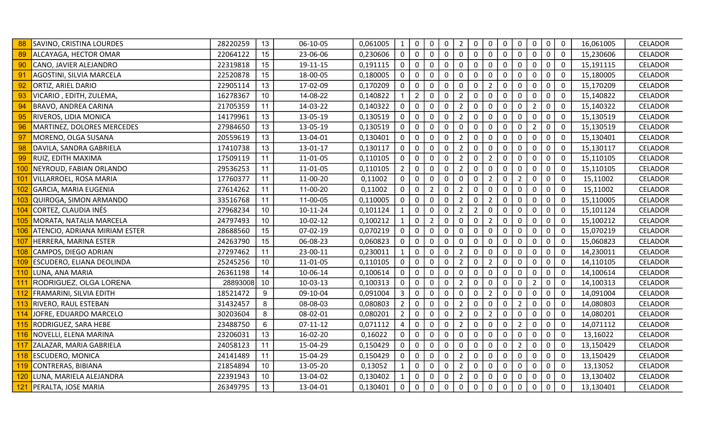|     | SAVINO, CRISTINA LOURDES         | 28220259 | 13 | 06-10-05   | 0,061005 | $\mathbf{1}$   | $\mathbf{0}$   | 0              | $\mathbf 0$ | $\overline{2}$ | $\mathbf 0$    | $\mathbf 0$    | 0            | $\mathbf 0$    | $\mathbf 0$    | $\mathbf 0$ | $\overline{0}$ | 16,061005 | <b>CELADOR</b> |
|-----|----------------------------------|----------|----|------------|----------|----------------|----------------|----------------|-------------|----------------|----------------|----------------|--------------|----------------|----------------|-------------|----------------|-----------|----------------|
| 89  | ALCAYAGA, HECTOR OMAR            | 22064122 | 15 | 23-06-06   | 0,230606 | $\Omega$       | $\mathbf{0}$   | $\mathbf{0}$   | $\Omega$    | $\Omega$       | $\Omega$       | $\mathbf 0$    | $\Omega$     | $\Omega$       | $\mathbf 0$    | $\mathbf 0$ | $\overline{0}$ | 15,230606 | <b>CELADOR</b> |
| 90  | CANO, JAVIER ALEJANDRO           | 22319818 | 15 | 19-11-15   | 0,191115 | $\mathbf 0$    | $\mathsf{O}$   | $\mathbf 0$    | $\mathbf 0$ | $\mathbf 0$    | $\mathbf 0$    | $\mathbf 0$    | $\mathbf 0$  | $\mathbf 0$    | $\mathbf 0$    | $\mathbf 0$ | $\overline{0}$ | 15,191115 | <b>CELADOR</b> |
| 91  | AGOSTINI, SILVIA MARCELA         | 22520878 | 15 | 18-00-05   | 0,180005 | 0              | $\mathsf{O}$   | 0              | 0           | 0              | $\Omega$       | $\mathbf 0$    | $\mathbf 0$  | 0              | 0              | 0           | $\overline{0}$ | 15,180005 | <b>CELADOR</b> |
| 92  | ORTIZ, ARIEL DARIO               | 22905114 | 13 | 17-02-09   | 0,170209 | 0              | 0              | 0              | 0           | 0              | 0              | $\overline{2}$ | 0            | $\mathbf 0$    | 0              | $\mathbf 0$ | $\overline{0}$ | 15,170209 | <b>CELADOR</b> |
| 93  | VICARIO, EDITH, ZULEMA,          | 16278367 | 10 | 14-08-22   | 0,140822 |                | $\overline{2}$ | 0              | 0           | 2              | $\Omega$       | $\mathbf 0$    | $\mathbf{0}$ | 0              | 0              | $\mathbf 0$ | $\overline{0}$ | 15,140822 | <b>CELADOR</b> |
| 94  | <b>BRAVO, ANDREA CARINA</b>      | 21705359 | 11 | 14-03-22   | 0,140322 | 0              | $\mathsf{O}$   | $\mathbf 0$    | $\mathbf 0$ | $\overline{2}$ | $\mathbf 0$    | $\mathbf 0$    | $\mathbf 0$  | $\mathbf 0$    | $\overline{2}$ | $\mathbf 0$ | $\overline{0}$ | 15,140322 | <b>CELADOR</b> |
| 95  | RIVEROS, LIDIA MONICA            | 14179961 | 13 | 13-05-19   | 0,130519 | 0              | $\mathsf{O}$   | $\mathbf 0$    | $\mathbf 0$ | $\overline{2}$ | 0              | $\mathbf 0$    | $\mathbf 0$  | $\mathbf 0$    | $\mathbf 0$    | $\mathbf 0$ | $\overline{0}$ | 15,130519 | <b>CELADOR</b> |
| 96  | MARTINEZ, DOLORES MERCEDES       | 27984650 | 13 | 13-05-19   | 0,130519 | $\mathbf 0$    | $\mathbf 0$    | $\mathbf 0$    | $\mathbf 0$ | $\mathbf 0$    | $\mathbf 0$    | $\mathbf 0$    | $\mathbf 0$  | $\mathbf 0$    | $2^{\circ}$    | $\mathbf 0$ | $\mathbf 0$    | 15,130519 | <b>CELADOR</b> |
| 97  | MORENO, OLGA SUSANA              | 20559619 | 13 | 13-04-01   | 0,130401 | 0              | 0              | 0              | $\mathbf 0$ | $\overline{2}$ | 0              | $\mathbf 0$    | 0            | 0              | 0              | $\pmb{0}$   | $\overline{0}$ | 15,130401 | <b>CELADOR</b> |
| 98  | DAVILA, SANDRA GABRIELA          | 17410738 | 13 | 13-01-17   | 0,130117 | 0              | 0              | $\mathbf 0$    | 0           | $\overline{2}$ | 0              | $\mathbf 0$    | 0            | 0              | 0              | $\mathbf 0$ | $\overline{0}$ | 15,130117 | <b>CELADOR</b> |
| 99  | RUIZ, EDITH MAXIMA               | 17509119 | 11 | 11-01-05   | 0,110105 | $\mathbf 0$    | $\mathbf 0$    | $\mathbf 0$    | 0           | $\overline{2}$ | 0              | $\overline{2}$ | $\mathbf 0$  | $\mathbf 0$    | $\mathbf 0$    | $\mathbf 0$ | $\overline{0}$ | 15,110105 | <b>CELADOR</b> |
| 100 | NEYROUD, FABIAN ORLANDO          | 29536253 | 11 | 11-01-05   | 0,110105 | $\overline{2}$ | 0              | $\mathbf 0$    | $\mathbf 0$ | $\overline{2}$ | $\mathbf{0}$   | $\mathbf 0$    | $\mathbf 0$  | 0              | 0              | $\mathbf 0$ | $\overline{0}$ | 15,110105 | <b>CELADOR</b> |
| 101 | <b>VILLARROEL, ROSA MARIA</b>    | 17760377 | 11 | 11-00-20   | 0,11002  | $\mathbf 0$    | 0              | 0              | 0           | $\mathbf 0$    | 0              | $\overline{2}$ | $\mathbf 0$  | $\overline{2}$ | $\mathbf 0$    | $\mathbf 0$ | $\overline{0}$ | 15,11002  | <b>CELADOR</b> |
| 102 | GARCIA, MARIA EUGENIA            | 27614262 | 11 | 11-00-20   | 0,11002  | 0              | $\mathbf 0$    | $\overline{2}$ | $\mathbf 0$ | $\overline{2}$ | $\mathbf 0$    | $\mathbf 0$    | $\mathbf 0$  | $\mathbf 0$    | 0              | $\mathbf 0$ | $\mathbf 0$    | 15,11002  | CELADOR        |
| 103 | QUIROGA, SIMON ARMANDO           | 33516768 | 11 | 11-00-05   | 0,110005 | 0              | 0              | $\mathbf 0$    | 0           | $\overline{2}$ | 0              | $\overline{2}$ | 0            | 0              | 0              | $\mathbf 0$ | $\mathbf 0$    | 15,110005 | <b>CELADOR</b> |
| 104 | CORTEZ, CLAUDIA INÉS             | 27968234 | 10 | 10-11-24   | 0,101124 | $\mathbf{1}$   | 0              | $\mathbf 0$    | 0           | $\overline{2}$ | $\overline{2}$ | 0              | $\mathbf{0}$ | $\mathbf 0$    | $\mathbf{0}$   | $\mathbf 0$ | $\mathbf 0$    | 15,101124 | <b>CELADOR</b> |
| 105 | MORATA, NATALIA MARCELA          | 24797493 | 10 | $10-02-12$ | 0,100212 | $\mathbf{1}$   | $\mathbf{0}$   | $\overline{2}$ | $\mathbf 0$ | $\mathbf 0$    | $\mathbf 0$    | $\overline{2}$ | $\mathbf 0$  | $\mathbf 0$    | $\mathbf 0$    | $\mathbf 0$ | $\overline{0}$ | 15,100212 | <b>CELADOR</b> |
| 106 | ATENCIO, ADRIANA MIRIAM ESTER    | 28688560 | 15 | 07-02-19   | 0,070219 | 0              | 0              | $\mathbf 0$    | $\mathbf 0$ | 0              | 0              | $\mathbf 0$    | $\mathbf 0$  | $\mathbf 0$    | $\mathbf 0$    | $\mathbf 0$ | $\overline{0}$ | 15,070219 | <b>CELADOR</b> |
| 107 | HERRERA, MARINA ESTER            | 24263790 | 15 | 06-08-23   | 0,060823 | $\mathbf 0$    | $\mathsf{O}$   | $\mathbf 0$    | 0           | 0              | 0              | $\mathbf 0$    | $\mathbf 0$  | 0              | 0              | $\mathbf 0$ | $\overline{0}$ | 15,060823 | <b>CELADOR</b> |
| 108 | CAMPOS, DIEGO ADRIAN             | 27297462 | 11 | 23-00-11   | 0,230011 | 1              | 0              | $\mathbf 0$    | $\mathbf 0$ | 2              | $\mathbf{0}$   | $\mathbf 0$    | $\mathbf 0$  | $\mathbf 0$    | $\mathbf{0}$   | $\mathbf 0$ | $\mathbf 0$    | 14,230011 | CELADOR        |
| 109 | <b>ESCUDERO, ELIANA DEOLINDA</b> | 25245256 | 10 | 11-01-05   | 0,110105 | 0              | $\mathbf 0$    | 0              | 0           | $\overline{2}$ | $\Omega$       | $\overline{2}$ | $\mathbf{0}$ | 0              | 0              | 0           | $\overline{0}$ | 14,110105 | <b>CELADOR</b> |
| 110 | LUNA, ANA MARIA                  | 26361198 | 14 | 10-06-14   | 0,100614 | $\mathbf{0}$   | 0              | $\mathbf 0$    | $\mathbf 0$ | $\mathbf 0$    | $\mathbf{0}$   | $\mathbf 0$    | $\mathbf 0$  | 0              | 0              | $\mathbf 0$ | $\overline{0}$ | 14,100614 | <b>CELADOR</b> |
| 111 | RODRIGUEZ, OLGA LORENA           | 28893008 | 10 | 10-03-13   | 0,100313 | $\mathbf 0$    | $\mathsf{O}$   | $\mathbf 0$    | $\mathbf 0$ | $\overline{2}$ | $\mathbf 0$    | $\mathbf 0$    | $\mathbf 0$  | $\mathbf 0$    | $\overline{2}$ | $\mathbf 0$ | $\overline{0}$ | 14,100313 | CELADOR        |
| 112 | FRAMARINI, SILVIA EDITH          | 18521472 | 9  | 09-10-04   | 0,091004 | $\mathbf{3}$   | $\mathsf{O}$   | $\mathbf 0$    | 0           | $\mathbf 0$    | $\mathbf{0}$   | $\overline{2}$ | $\mathbf 0$  | $\mathbf{0}$   | 0              | $\mathbf 0$ | $\overline{0}$ | 14,091004 | CELADOR        |
| 113 | <b>RIVERO, RAUL ESTEBAN</b>      | 31432457 | 8  | 08-08-03   | 0,080803 | $\overline{2}$ | 0              | $\mathbf 0$    | 0           | 2              | 0              | $\mathbf 0$    | $\mathbf 0$  | $\overline{2}$ | 0              | $\mathbf 0$ | $\overline{0}$ | 14,080803 | CELADOR        |
| 114 | JOFRE, EDUARDO MARCELO           | 30203604 | 8  | 08-02-01   | 0,080201 | $\overline{2}$ | 0              | 0              | 0           | $\overline{2}$ | 0              | $\overline{2}$ | $\mathbf{0}$ | 0              | 0              | $\mathbf 0$ | $\overline{0}$ | 14,080201 | <b>CELADOR</b> |
| 115 | RODRIGUEZ, SARA HEBE             | 23488750 | 6  | $07-11-12$ | 0,071112 | 4              | $\mathsf{O}$   | $\mathbf 0$    | $\mathbf 0$ | $\overline{2}$ | 0              | $\mathbf 0$    | $\mathbf 0$  | $\overline{2}$ | 0              | $\mathbf 0$ | $\overline{0}$ | 14,071112 | <b>CELADOR</b> |
|     | 116 NOVELLI, ELENA MARINA        | 23206031 | 13 | 16-02-20   | 0,16022  | 0              | $\mathsf{O}$   | $\mathbf 0$    | $\mathbf 0$ | 0              | 0              | $\mathbf 0$    | $\mathbf 0$  | $\mathbf 0$    | $\mathbf 0$    | $\mathbf 0$ | $\overline{0}$ | 13,16022  | <b>CELADOR</b> |
| 117 | ZALAZAR, MARIA GABRIELA          | 24058123 | 11 | 15-04-29   | 0,150429 | $\mathbf 0$    | $\mathsf{O}$   | 0              | 0           | 0              | 0              | $\mathbf 0$    | $\mathbf 0$  | $\overline{2}$ | $\mathbf 0$    | $\mathbf 0$ | $\overline{0}$ | 13,150429 | <b>CELADOR</b> |
| 118 | <b>ESCUDERO, MONICA</b>          | 24141489 | 11 | 15-04-29   | 0,150429 | $\mathbf 0$    | 0              | $\mathbf 0$    | $\mathbf 0$ | $\overline{2}$ | 0              | $\mathbf 0$    | 0            | 0              | 0              | $\mathbf 0$ | $\overline{0}$ | 13,150429 | <b>CELADOR</b> |
| 119 | CONTRERAS, BIBIANA               | 21854894 | 10 | 13-05-20   | 0,13052  | $\mathbf{1}$   | 0              | $\mathbf 0$    | 0           | $\overline{2}$ | $\mathbf 0$    | $\mathbf 0$    | 0            | 0              | 0              | $\mathbf 0$ | $\overline{0}$ | 13,13052  | <b>CELADOR</b> |
| 120 | LUNA, MARIELA ALEJANDRA          | 22391943 | 10 | 13-04-02   | 0,130402 | $\mathbf{1}$   | 0              | 0              | 0           | 2              | $\Omega$       | 0              | $\Omega$     | 0              | 0              | 0           | $\overline{0}$ | 13,130402 | <b>CELADOR</b> |
|     | 121 PERALTA, JOSE MARIA          | 26349795 | 13 | 13-04-01   | 0,130401 | $\mathbf 0$    | $\mathbf 0$    | $\mathbf 0$    | $\mathbf 0$ | $\mathbf 0$    | $\mathbf 0$    | $\mathbf 0$    | $\mathbf 0$  | $\mathbf 0$    | $\mathbf 0$    | $\mathbf 0$ | $\overline{0}$ | 13,130401 | <b>CELADOR</b> |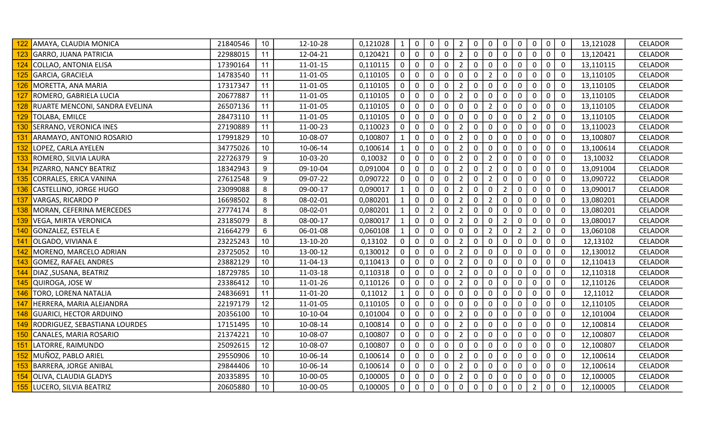|     | AMAYA, CLAUDIA MONICA          | 21840546 | 10 | 12-10-28       | 0,121028 | $\mathbf{1}$ | $\overline{0}$ | $\mathbf 0$      | $\mathbf 0$ | $\overline{2}$ | 0            | $\mathbf 0$    | 0              | $\mathbf 0$    | $\mathsf 0$    | $\mathbf 0$    | $\overline{0}$ | 13,121028 | <b>CELADOR</b> |
|-----|--------------------------------|----------|----|----------------|----------|--------------|----------------|------------------|-------------|----------------|--------------|----------------|----------------|----------------|----------------|----------------|----------------|-----------|----------------|
| 123 | GARRO, JUANA PATRICIA          | 22988015 | 11 | 12-04-21       | 0,120421 | $\mathbf{0}$ | 0              | $\Omega$         | $\mathbf 0$ | $\overline{2}$ | $\Omega$     | $\mathbf 0$    | $\mathbf 0$    | $\Omega$       | $\mathbf 0$    | $\overline{0}$ | $\overline{0}$ | 13,120421 | <b>CELADOR</b> |
|     | 124 COLLAO, ANTONIA ELISA      | 17390164 | 11 | $11 - 01 - 15$ | 0,110115 | $\mathbf 0$  | $\mathsf{O}$   | $\mathsf 0$      | $\mathbf 0$ | $\overline{2}$ | $\mathbf 0$  | $\mathbf 0$    | $\mathbf 0$    | $\mathsf 0$    | $\mathbf 0$    | $\mathbf 0$    | $\overline{0}$ | 13,110115 | <b>CELADOR</b> |
|     | 125 GARCIA, GRACIELA           | 14783540 | 11 | 11-01-05       | 0,110105 | 0            | 0              | $\mathbf 0$      | 0           | $\mathbf 0$    | $\Omega$     | $\overline{2}$ | $\mathbf 0$    | 0              | 0              | $\pmb{0}$      | $\mathbf 0$    | 13,110105 | <b>CELADOR</b> |
| 126 | MORETTA, ANA MARIA             | 17317347 | 11 | 11-01-05       | 0,110105 | 0            | 0              | $\mathbf 0$      | 0           | $\overline{2}$ | 0            | $\mathbf 0$    | 0              | 0              | 0              | $\mathbf 0$    | $\mathbf 0$    | 13,110105 | <b>CELADOR</b> |
| 127 | ROMERO, GABRIELA LUCIA         | 20677887 | 11 | 11-01-05       | 0,110105 | $\mathbf{0}$ | 0              | 0                | 0           | $\overline{2}$ | $\Omega$     | 0              | $\mathbf{0}$   | 0              | 0              | $\mathbf 0$    | $\overline{0}$ | 13,110105 | <b>CELADOR</b> |
|     | RUARTE MENCONI, SANDRA EVELINA | 26507136 | 11 | 11-01-05       | 0,110105 | 0            | 0              | $\mathbf 0$      | $\mathbf 0$ | $\mathbf 0$    | $\mathbf 0$  | $\overline{2}$ | $\mathbf 0$    | $\mathbf 0$    | 0              | $\mathbf 0$    | $\overline{0}$ | 13,110105 | <b>CELADOR</b> |
| 129 | TOLABA, EMILCE                 | 28473110 | 11 | 11-01-05       | 0,110105 | 0            | 0              | $\mathbf 0$      | $\mathbf 0$ | 0              | $\mathbf 0$  | $\mathbf 0$    | $\mathbf 0$    | $\mathbf 0$    | $\overline{2}$ | $\mathbf 0$    | $\overline{0}$ | 13,110105 | <b>CELADOR</b> |
|     | 130 SERRANO, VERONICA INES     | 27190889 | 11 | 11-00-23       | 0,110023 | $\mathbf 0$  | $\mathsf{O}$   | $\mathbf 0$      | $\mathbf 0$ | $\overline{2}$ | 0            | $\mathbf 0$    | $\mathbf 0$    | $\mathbf 0$    | $\mathbf 0$    | $\mathbf 0$    | $\overline{0}$ | 13,110023 | <b>CELADOR</b> |
| 131 | ARAMAYO, ANTONIO ROSARIO       | 17991829 | 10 | 10-08-07       | 0,100807 | $\mathbf{1}$ | 0              | $\mathbf 0$      | $\mathbf 0$ | $\overline{2}$ | 0            | $\mathbf 0$    | 0              | 0              | $\mathbf{0}$   | $\mathbf 0$    | $\overline{0}$ | 13,100807 | <b>CELADOR</b> |
| 132 | LOPEZ, CARLA AYELEN            | 34775026 | 10 | 10-06-14       | 0,100614 |              | 0              | $\mathbf 0$      | $\mathbf 0$ | $\overline{2}$ | 0            | $\mathbf 0$    | 0              | 0              | 0              | $\mathbf 0$    | $\overline{0}$ | 13,100614 | <b>CELADOR</b> |
| 133 | ROMERO, SILVIA LAURA           | 22726379 | 9  | 10-03-20       | 0,10032  | $\mathbf 0$  | 0              | $\mathbf 0$      | $\mathbf 0$ | $\overline{2}$ | 0            | $\overline{2}$ | $\mathbf 0$    | $\mathbf 0$    | $\mathbf 0$    | $\mathbf 0$    | $\overline{0}$ | 13,10032  | <b>CELADOR</b> |
|     | 134 PIZARRO, NANCY BEATRIZ     | 18342943 | 9  | 09-10-04       | 0,091004 | 0            | 0              | $\mathbf 0$      | $\mathbf 0$ | $\overline{2}$ | $\mathbf{0}$ | $\overline{2}$ | $\mathbf 0$    | $\mathbf 0$    | 0              | $\mathbf 0$    | $\overline{0}$ | 13,091004 | <b>CELADOR</b> |
| 135 | CORRALES, ERICA VANINA         | 27612548 | 9  | 09-07-22       | 0,090722 | $\mathbf 0$  | $\mathsf{O}$   | $\mathbf 0$      | $\mathbf 0$ | $\overline{2}$ | 0            | $\overline{2}$ | 0              | $\mathbf 0$    | $\mathbf 0$    | $\mathbf 0$    | $\overline{0}$ | 13,090722 | <b>CELADOR</b> |
| 136 | CASTELLINO, JORGE HUGO         | 23099088 | 8  | 09-00-17       | 0,090017 | $\mathbf{1}$ | 0              | $\mathbf 0$      | $\mathbf 0$ | $\overline{2}$ | $\mathbf 0$  | $\mathbf 0$    | $\overline{2}$ | $\mathbf 0$    | 0              | $\mathbf 0$    | $\overline{0}$ | 13,090017 | CELADOR        |
| 137 | <b>VARGAS, RICARDO P</b>       | 16698502 | 8  | 08-02-01       | 0,080201 |              | 0              | $\mathbf 0$      | 0           | $\overline{2}$ | 0            | $\overline{2}$ | 0              | $\mathbf 0$    | 0              | $\mathbf 0$    | $\mathbf 0$    | 13,080201 | <b>CELADOR</b> |
| 138 | MORAN, CEFERINA MERCEDES       | 27774174 | 8  | 08-02-01       | 0,080201 | $\mathbf{1}$ | 0              | $\overline{2}$   | 0           | $\overline{2}$ | $\Omega$     | 0              | $\mathbf{0}$   | 0              | 0              | 0              | $\overline{0}$ | 13,080201 | <b>CELADOR</b> |
|     | 139 VEGA, MIRTA VERONICA       | 23185079 | 8  | 08-00-17       | 0,080017 | $\mathbf{1}$ | 0              | $\mathbf 0$      | $\mathbf 0$ | $\overline{2}$ | 0            | $\mathbf 0$    | $\overline{2}$ | $\mathbf 0$    | $\mathbf 0$    | $\mathbf 0$    | $\overline{0}$ | 13,080017 | <b>CELADOR</b> |
|     | 140 GONZALEZ, ESTELA E         | 21664279 | 6  | 06-01-08       | 0,060108 | $\mathbf{1}$ | 0              | $\mathbf 0$      | $\mathbf 0$ | $\mathbf 0$    | $\mathbf 0$  | $\overline{2}$ | $\mathbf 0$    | $\overline{2}$ | $\overline{2}$ | $\mathbf 0$    | $\overline{0}$ | 13,060108 | <b>CELADOR</b> |
|     | 141 OLGADO, VIVIANA E          | 23225243 | 10 | 13-10-20       | 0,13102  | 0            | $\mathsf{O}$   | $\boldsymbol{0}$ | $\mathbf 0$ | $\overline{2}$ | 0            | $\mathbf 0$    | $\mathbf 0$    | $\mathbf 0$    | 0              | $\mathbf 0$    | $\overline{0}$ | 12,13102  | CELADOR        |
| 142 | MORENO, MARCELO ADRIAN         | 23725052 | 10 | 13-00-12       | 0,130012 | 0            | 0              | $\mathbf 0$      | $\mathbf 0$ | 2              | 0            | $\mathbf 0$    | $\mathbf{0}$   | 0              | 0              | $\mathbf 0$    | $\overline{0}$ | 12,130012 | CELADOR        |
| 143 | <b>GOMEZ, RAFAEL ANDRES</b>    | 23882129 | 10 | 11-04-13       | 0,110413 | 0            | 0              | 0                | 0           | $\overline{2}$ | $\Omega$     | 0              | $\mathbf{0}$   | 0              | 0              | 0              | $\overline{0}$ | 12,110413 | <b>CELADOR</b> |
| 144 | DIAZ, SUSANA, BEATRIZ          | 18729785 | 10 | 11-03-18       | 0,110318 | 0            | 0              | $\mathbf 0$      | $\mathbf 0$ | $\overline{2}$ | $\mathbf{0}$ | $\mathbf 0$    | $\mathbf 0$    | 0              | 0              | $\mathbf 0$    | $\overline{0}$ | 12,110318 | <b>CELADOR</b> |
| 145 | QUIROGA, JOSE W                | 23386412 | 10 | 11-01-26       | 0,110126 | $\mathbf 0$  | $\mathsf{O}$   | $\mathbf 0$      | $\mathbf 0$ | $\overline{2}$ | 0            | $\mathbf 0$    | $\mathbf 0$    | $\mathbf 0$    | $\mathbf 0$    | $\mathbf 0$    | $\overline{0}$ | 12,110126 | CELADOR        |
| 146 | TORO, LORENA NATALIA           | 24836691 | 11 | 11-01-20       | 0,11012  | $\mathbf{1}$ | 0              | $\mathbf 0$      | 0           | $\mathbf 0$    | $\mathbf{0}$ | 0              | $\mathbf{0}$   | 0              | 0              | $\mathbf 0$    | $\overline{0}$ | 12,11012  | <b>CELADOR</b> |
| 147 | HERRERA, MARIA ALEJANDRA       | 22197179 | 12 | 11-01-05       | 0,110105 | 0            | 0              | $\mathbf 0$      | $\mathbf 0$ | 0              | 0            | $\mathbf 0$    | 0              | 0              | 0              | $\mathbf 0$    | $\mathbf 0$    | 12,110105 | CELADOR        |
| 148 | <b>GUARICI, HECTOR ARDUINO</b> | 20356100 | 10 | 10-10-04       | 0,101004 | 0            | 0              | $\mathbf 0$      | $\mathbf 0$ | $\overline{2}$ | 0            | $\mathbf 0$    | $\mathbf{0}$   | $\mathbf 0$    | 0              | $\mathbf 0$    | $\overline{0}$ | 12,101004 | <b>CELADOR</b> |
| 149 | RODRIGUEZ, SEBASTIANA LOURDES  | 17151495 | 10 | 10-08-14       | 0,100814 | 0            | 0              | $\mathbf 0$      | $\mathbf 0$ | $\overline{2}$ | 0            | $\mathbf 0$    | $\mathbf 0$    | $\mathbf 0$    | 0              | $\mathbf 0$    | $\overline{0}$ | 12,100814 | <b>CELADOR</b> |
| 150 | CANALES, MARIA ROSARIO         | 21374221 | 10 | 10-08-07       | 0,100807 | 0            | 0              | $\mathbf 0$      | $\mathbf 0$ | $\overline{2}$ | $\mathbf 0$  | $\mathbf 0$    | $\mathbf 0$    | $\mathbf 0$    | 0              | $\mathbf 0$    | $\overline{0}$ | 12,100807 | <b>CELADOR</b> |
|     | 151 LATORRE, RAIMUNDO          | 25092615 | 12 | 10-08-07       | 0,100807 | 0            | $\mathsf{O}$   | $\mathbf 0$      | $\mathbf 0$ | $\mathbf 0$    | 0            | $\mathbf 0$    | 0              | 0              | $\mathbf 0$    | $\mathbf 0$    | $\overline{0}$ | 12,100807 | <b>CELADOR</b> |
| 152 | MUÑOZ, PABLO ARIEL             | 29550906 | 10 | 10-06-14       | 0,100614 | 0            | 0              | $\mathbf 0$      | $\mathbf 0$ | $\overline{2}$ | 0            | $\mathbf 0$    | $\mathbf 0$    | 0              | 0              | $\mathbf 0$    | $\overline{0}$ | 12,100614 | <b>CELADOR</b> |
| 153 | <b>BARRERA, JORGE ANIBAL</b>   | 29844406 | 10 | 10-06-14       | 0,100614 | 0            | 0              | $\mathbf 0$      | $\mathbf 0$ | $\overline{2}$ | $\mathbf 0$  | $\mathbf 0$    | 0              | 0              | 0              | $\mathbf 0$    | $\overline{0}$ | 12,100614 | <b>CELADOR</b> |
| 154 | OLIVA, CLAUDIA GLADYS          | 20335895 | 10 | 10-00-05       | 0,100005 | $\Omega$     | 0              | 0                | 0           | $\overline{2}$ | $\Omega$     | 0              | $\Omega$       | 0              | 0              | 0              | $\overline{0}$ | 12,100005 | <b>CELADOR</b> |
|     | 155 LUCERO, SILVIA BEATRIZ     | 20605880 | 10 | 10-00-05       | 0,100005 | $\mathbf 0$  | 0              | $\mathbf 0$      | $\mathbf 0$ | $\mathbf 0$    | $\mathbf 0$  | $\mathbf 0$    | $\mathbf 0$    | $\mathbf 0$    | $\overline{2}$ | $\mathbf 0$    | $\mathbf 0$    | 12,100005 | <b>CELADOR</b> |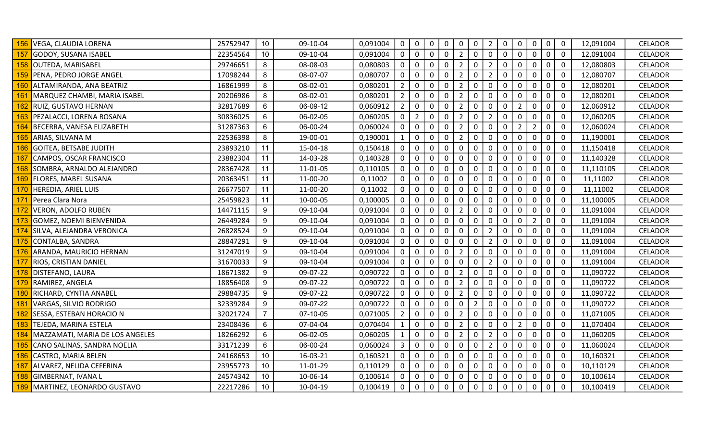|     | VEGA, CLAUDIA LORENA                | 25752947 | 10             | 09-10-04 | 0,091004 | $\mathbf 0$    | $\mathsf{O}$   | $\mathbf 0$      | $\mathbf 0$ | 0              | $\mathbf 0$    | $\overline{2}$ | 0            | $\mathbf 0$    | $\mathbf 0$    | $\mathbf 0$ | $\overline{0}$ | 12,091004 | <b>CELADOR</b> |
|-----|-------------------------------------|----------|----------------|----------|----------|----------------|----------------|------------------|-------------|----------------|----------------|----------------|--------------|----------------|----------------|-------------|----------------|-----------|----------------|
| 157 | GODOY, SUSANA ISABEL                | 22354564 | 10             | 09-10-04 | 0,091004 | $\mathbf{0}$   | 0              | $\mathbf{0}$     | $\Omega$    | $\overline{2}$ | 0              | $\mathbf 0$    | $\mathbf 0$  | $\Omega$       | $\mathbf 0$    | $\mathbf 0$ | $\overline{0}$ | 12,091004 | <b>CELADOR</b> |
| 158 | OUTEDA, MARISABEL                   | 29746651 | 8              | 08-08-03 | 0,080803 | $\mathbf 0$    | 0              | $\mathsf 0$      | $\mathbf 0$ | $\overline{2}$ | $\mathbf 0$    | $\overline{2}$ | $\mathbf 0$  | $\mathsf 0$    | $\mathsf 0$    | $\mathbf 0$ | $\overline{0}$ | 12,080803 | <b>CELADOR</b> |
|     | 159 PENA, PEDRO JORGE ANGEL         | 17098244 | 8              | 08-07-07 | 0,080707 | 0              | 0              | $\mathbf 0$      | 0           | $\overline{2}$ | $\Omega$       | $\overline{2}$ | $\mathbf 0$  | $\mathbf 0$    | 0              | $\pmb{0}$   | $\mathbf 0$    | 12,080707 | <b>CELADOR</b> |
| 160 | ALTAMIRANDA, ANA BEATRIZ            | 16861999 | 8              | 08-02-01 | 0,080201 | $\overline{2}$ | 0              | $\mathbf 0$      | $\mathbf 0$ | $\overline{2}$ | 0              | $\mathbf 0$    | 0            | 0              | 0              | $\mathbf 0$ | $\mathbf 0$    | 12,080201 | <b>CELADOR</b> |
| 161 | MARQUEZ CHAMBI, MARIA ISABEL        | 20206986 | 8              | 08-02-01 | 0,080201 | $\overline{2}$ | 0              | 0                | 0           | $\overline{2}$ | $\Omega$       | $\mathbf 0$    | $\Omega$     | 0              | 0              | $\mathbf 0$ | $\overline{0}$ | 12,080201 | <b>CELADOR</b> |
| 162 | RUIZ, GUSTAVO HERNAN                | 32817689 | 6              | 06-09-12 | 0,060912 | $\overline{2}$ | $\mathsf{O}$   | $\mathbf 0$      | $\mathbf 0$ | $\overline{2}$ | $\mathbf 0$    | $\mathbf 0$    | $\mathbf 0$  | $\overline{2}$ | 0              | $\mathbf 0$ | $\overline{0}$ | 12,060912 | <b>CELADOR</b> |
|     | 163 PEZALACCI, LORENA ROSANA        | 30836025 | 6              | 06-02-05 | 0,060205 | 0              | $\overline{2}$ | $\mathbf 0$      | $\mathbf 0$ | $\overline{2}$ | $\mathbf 0$    | $\overline{2}$ | $\pmb{0}$    | $\mathbf 0$    | 0              | $\mathbf 0$ | $\overline{0}$ | 12,060205 | <b>CELADOR</b> |
|     | 164 BECERRA, VANESA ELIZABETH       | 31287363 | 6              | 06-00-24 | 0,060024 | $\mathbf 0$    | $\mathsf{O}$   | $\mathbf 0$      | $\mathbf 0$ | $\overline{2}$ | 0              | $\mathbf 0$    | $\mathbf 0$  | $\overline{2}$ | $2^{\circ}$    | $\mathbf 0$ | $\overline{0}$ | 12,060024 | <b>CELADOR</b> |
| 165 | ARIAS, SILVANA M                    | 22536398 | 8              | 19-00-01 | 0,190001 | $\mathbf{1}$   | 0              | $\mathbf 0$      | $\mathbf 0$ | $\overline{2}$ | 0              | $\mathbf 0$    | 0            | 0              | 0              | $\mathbf 0$ | $\overline{0}$ | 11,190001 | <b>CELADOR</b> |
| 166 | <b>GOITEA, BETSABE JUDITH</b>       | 23893210 | 11             | 15-04-18 | 0,150418 | 0              | 0              | $\mathbf 0$      | $\mathbf 0$ | $\mathbf 0$    | 0              | $\mathbf 0$    | 0            | 0              | 0              | $\mathbf 0$ | $\overline{0}$ | 11,150418 | <b>CELADOR</b> |
| 167 | CAMPOS, OSCAR FRANCISCO             | 23882304 | 11             | 14-03-28 | 0,140328 | $\mathbf{0}$   | 0              | $\mathbf 0$      | $\mathbf 0$ | $\mathbf 0$    | 0              | $\mathbf 0$    | $\mathbf 0$  | $\mathbf 0$    | $\mathbf 0$    | $\mathbf 0$ | $\overline{0}$ | 11,140328 | <b>CELADOR</b> |
| 168 | SOMBRA, ARNALDO ALEJANDRO           | 28367428 | 11             | 11-01-05 | 0,110105 | 0              | 0              | $\mathbf 0$      | $\mathbf 0$ | 0              | 0              | $\mathbf 0$    | $\mathbf 0$  | $\mathbf 0$    | $\mathbf 0$    | $\mathbf 0$ | $\overline{0}$ | 11,110105 | <b>CELADOR</b> |
|     | 169 FLORES, MABEL SUSANA            | 20363451 | 11             | 11-00-20 | 0,11002  | $\mathbf 0$    | $\mathbf 0$    | $\mathbf 0$      | $\mathbf 0$ | $\mathbf 0$    | 0              | $\mathbf 0$    | 0            | $\mathbf 0$    | $\mathbf 0$    | $\mathbf 0$ | $\overline{0}$ | 11,11002  | <b>CELADOR</b> |
|     | 170 HEREDIA, ARIEL LUIS             | 26677507 | 11             | 11-00-20 | 0,11002  | 0              | 0              | $\mathbf 0$      | $\mathbf 0$ | $\mathbf 0$    | $\mathbf 0$    | $\mathbf 0$    | $\mathbf 0$  | $\mathbf 0$    | 0              | $\mathbf 0$ | $\overline{0}$ | 11,11002  | CELADOR        |
| 171 | Perea Clara Nora                    | 25459823 | 11             | 10-00-05 | 0,100005 | 0              | 0              | $\mathbf 0$      | 0           | 0              | 0              | $\mathbf 0$    | $\mathbf 0$  | $\mathbf 0$    | 0              | $\mathbf 0$ | $\mathbf 0$    | 11,100005 | <b>CELADOR</b> |
|     | <b>VERON, ADOLFO RUBEN</b>          | 14471115 | 9              | 09-10-04 | 0,091004 | 0              | 0              | 0                | 0           | $\overline{2}$ | $\Omega$       | 0              | 0            | 0              | 0              | 0           | $\overline{0}$ | 11,091004 | <b>CELADOR</b> |
| 173 | GOMEZ, NOEMI BIENVENIDA             | 26449284 | 9              | 09-10-04 | 0,091004 | $\mathbf 0$    | 0              | $\mathbf 0$      | $\mathbf 0$ | $\mathbf 0$    | $\Omega$       | $\mathbf 0$    | $\mathbf 0$  | $\mathbf 0$    | $\overline{2}$ | $\mathbf 0$ | $\overline{0}$ | 11,091004 | <b>CELADOR</b> |
|     | 174 SILVA, ALEJANDRA VERONICA       | 26828524 | 9              | 09-10-04 | 0,091004 | 0              | 0              | $\mathbf 0$      | $\mathbf 0$ | $\mathbf 0$    | $\mathbf 0$    | $\overline{2}$ | $\mathbf 0$  | $\mathbf 0$    | $\mathbf 0$    | $\mathbf 0$ | $\overline{0}$ | 11,091004 | <b>CELADOR</b> |
|     | 175 CONTALBA, SANDRA                | 28847291 | 9              | 09-10-04 | 0,091004 | 0              | $\mathsf{O}$   | $\boldsymbol{0}$ | $\mathbf 0$ | $\mathbf 0$    | 0              | $\overline{2}$ | $\mathbf 0$  | $\mathbf 0$    | 0              | $\mathbf 0$ | $\overline{0}$ | 11,091004 | CELADOR        |
| 176 | ARANDA, MAURICIO HERNAN             | 31247019 | 9              | 09-10-04 | 0,091004 | 0              | 0              | $\mathbf 0$      | $\mathbf 0$ | 2              | 0              | $\mathbf 0$    | $\mathbf{0}$ | 0              | 0              | $\mathbf 0$ | $\mathbf 0$    | 11,091004 | CELADOR        |
| 177 | <b>RIOS, CRISTIAN DANIEL</b>        | 31670033 | 9              | 09-10-04 | 0,091004 | 0              | 0              | 0                | 0           | $\mathbf{0}$   | $\Omega$       | $\overline{2}$ | $\mathbf{0}$ | 0              | 0              | 0           | $\overline{0}$ | 11,091004 | <b>CELADOR</b> |
| 178 | DISTEFANO, LAURA                    | 18671382 | 9              | 09-07-22 | 0,090722 | 0              | 0              | $\mathbf 0$      | $\mathbf 0$ | $\overline{2}$ | 0              | $\mathbf 0$    | $\mathbf 0$  | 0              | 0              | $\mathbf 0$ | $\overline{0}$ | 11,090722 | <b>CELADOR</b> |
|     | 179 RAMIREZ, ANGELA                 | 18856408 | 9              | 09-07-22 | 0,090722 | $\mathbf 0$    | $\mathsf{O}$   | $\mathbf 0$      | $\mathbf 0$ | $\overline{2}$ | 0              | $\mathbf 0$    | $\mathbf 0$  | $\mathbf 0$    | 0              | $\mathbf 0$ | $\overline{0}$ | 11,090722 | <b>CELADOR</b> |
|     | 180 RICHARD, CYNTIA ANABEL          | 29884735 | 9              | 09-07-22 | 0,090722 | 0              | $\mathbf 0$    | $\mathbf 0$      | $\mathbf 0$ | $\overline{2}$ | $\mathbf{0}$   | $\mathbf 0$    | $\mathbf{0}$ | 0              | 0              | $\mathbf 0$ | $\overline{0}$ | 11,090722 | <b>CELADOR</b> |
| 181 | VARGAS, SILVIO RODRIGO              | 32339284 | 9              | 09-07-22 | 0,090722 | 0              | 0              | $\mathbf 0$      | $\mathbf 0$ | 0              | $\overline{2}$ | $\mathbf 0$    | 0            | 0              | 0              | $\mathbf 0$ | $\mathbf 0$    | 11,090722 | <b>CELADOR</b> |
| 182 | SESSA, ESTEBAN HORACIO N            | 32021724 | $\overline{7}$ | 07-10-05 | 0,071005 | $\overline{2}$ | 0              | $\mathbf 0$      | $\mathbf 0$ | $\overline{2}$ | 0              | $\mathbf 0$    | $\mathbf{0}$ | $\mathbf 0$    | 0              | $\mathbf 0$ | $\overline{0}$ | 11,071005 | <b>CELADOR</b> |
| 183 | TEJEDA, MARINA ESTELA               | 23408436 | 6              | 07-04-04 | 0,070404 |                | $\mathsf{O}$   | $\mathbf 0$      | $\mathbf 0$ | $\overline{2}$ | 0              | $\mathbf 0$    | $\mathbf 0$  | $\overline{2}$ | 0              | $\mathbf 0$ | $\overline{0}$ | 11,070404 | <b>CELADOR</b> |
|     | 184 MAZZAMATI, MARIA DE LOS ANGELES | 18266292 | 6              | 06-02-05 | 0,060205 | $\mathbf{1}$   | 0              | $\mathbf 0$      | $\mathbf 0$ | $\overline{2}$ | $\mathbf 0$    | $\overline{2}$ | $\mathbf 0$  | $\mathbf 0$    | 0              | $\mathbf 0$ | $\overline{0}$ | 11,060205 | <b>CELADOR</b> |
| 185 | CANO SALINAS, SANDRA NOELIA         | 33171239 | 6              | 06-00-24 | 0,060024 | 3              | $\mathsf{O}$   | $\mathbf 0$      | $\mathbf 0$ | $\mathbf 0$    | 0              | $\overline{2}$ | 0            | $\mathbf 0$    | $\mathbf 0$    | $\mathbf 0$ | $\overline{0}$ | 11,060024 | <b>CELADOR</b> |
| 186 | CASTRO, MARIA BELEN                 | 24168653 | 10             | 16-03-21 | 0,160321 | 0              | $\mathbf 0$    | $\mathbf 0$      | $\mathbf 0$ | $\mathbf 0$    | 0              | $\mathbf 0$    | $\mathbf 0$  | 0              | 0              | $\mathbf 0$ | $\overline{0}$ | 10,160321 | <b>CELADOR</b> |
| 187 | ALVAREZ, NELIDA CEFERINA            | 23955773 | 10             | 11-01-29 | 0,110129 | 0              | 0              | $\mathbf 0$      | $\mathbf 0$ | $\mathbf 0$    | $\mathbf 0$    | $\mathbf 0$    | 0            | 0              | 0              | $\mathbf 0$ | $\overline{0}$ | 10,110129 | <b>CELADOR</b> |
| 188 | GIMBERNAT, IVANA L                  | 24574342 | 10             | 10-06-14 | 0,100614 | $\Omega$       | 0              | 0                | 0           | $\Omega$       | $\Omega$       | 0              | $\Omega$     | 0              | 0              | 0           | $\overline{0}$ | 10,100614 | <b>CELADOR</b> |
|     | 189 MARTINEZ, LEONARDO GUSTAVO      | 22217286 | 10             | 10-04-19 | 0,100419 | $\mathbf 0$    | 0              | $\mathbf 0$      | $\mathbf 0$ | $\mathbf 0$    | $\mathbf 0$    | $\mathbf 0$    | $\mathbf 0$  | $\mathbf 0$    | $\overline{0}$ | $\mathbf 0$ | $\overline{0}$ | 10,100419 | <b>CELADOR</b> |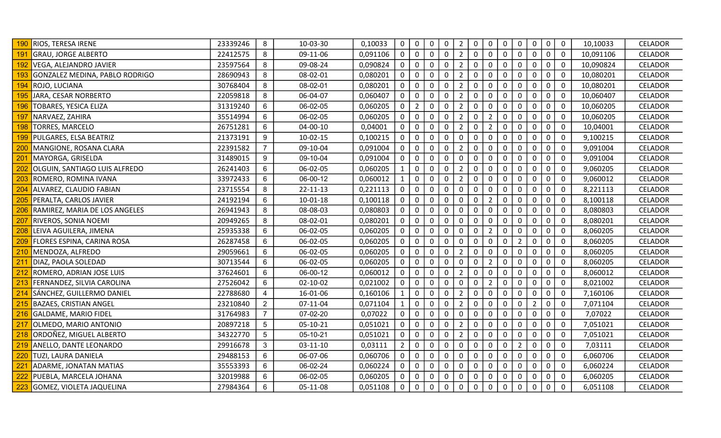|                 | <b>RIOS, TERESA IRENE</b>         | 23339246 | 8              | 10-03-30       | 0,10033  | $\mathbf 0$    | $\mathsf{O}$   | 0                | $\mathbf 0$ | $\overline{2}$ | $\mathbf 0$  | $\mathbf 0$    | 0            | $\mathbf 0$    | $\mathbf 0$    | $\mathbf 0$ | $\overline{0}$ | 10,10033  | <b>CELADOR</b> |
|-----------------|-----------------------------------|----------|----------------|----------------|----------|----------------|----------------|------------------|-------------|----------------|--------------|----------------|--------------|----------------|----------------|-------------|----------------|-----------|----------------|
| 191             | <b>GRAU, JORGE ALBERTO</b>        | 22412575 | 8              | 09-11-06       | 0,091106 | $\mathbf{0}$   | $\mathbf 0$    | $\mathbf{0}$     | $\Omega$    | $\overline{2}$ | $\Omega$     | $\mathbf 0$    | $\Omega$     | $\Omega$       | $\mathbf{0}$   | $\mathbf 0$ | $\overline{0}$ | 10,091106 | <b>CELADOR</b> |
| 192             | VEGA, ALEJANDRO JAVIER            | 23597564 | 8              | 09-08-24       | 0,090824 | $\mathbf 0$    | $\mathsf{O}$   | $\mathbf 0$      | $\mathbf 0$ | $\overline{2}$ | $\mathbf 0$  | $\mathbf 0$    | $\mathbf 0$  | $\mathbf 0$    | $\mathbf 0$    | $\mathbf 0$ | $\overline{0}$ | 10,090824 | <b>CELADOR</b> |
| 193             | GONZALEZ MEDINA, PABLO RODRIGO    | 28690943 | 8              | 08-02-01       | 0,080201 | $\mathbf 0$    | $\mathbf 0$    | 0                | 0           | $\overline{2}$ | 0            | $\mathbf 0$    | $\mathbf 0$  | 0              | 0              | $\pmb{0}$   | $\overline{0}$ | 10,080201 | CELADOR        |
| 194             | ROJO, LUCIANA                     | 30768404 | 8              | 08-02-01       | 0,080201 | 0              | 0              | 0                | 0           | $\overline{2}$ | 0            | $\mathbf 0$    | 0            | $\mathbf 0$    | 0              | $\mathbf 0$ | $\overline{0}$ | 10,080201 | CELADOR        |
| 195             | JARA, CESAR NORBERTO              | 22059818 | 8              | 06-04-07       | 0,060407 | 0              | 0              | 0                | 0           | $\overline{2}$ | $\Omega$     | $\mathbf 0$    | $\mathbf{0}$ | 0              | 0              | $\mathbf 0$ | $\overline{0}$ | 10,060407 | <b>CELADOR</b> |
| 196             | TOBARES, YESICA ELIZA             | 31319240 | 6              | 06-02-05       | 0,060205 | 0              | $2^{\circ}$    | $\mathbf 0$      | $\mathbf 0$ | $\overline{2}$ | $\mathbf 0$  | $\mathbf 0$    | $\mathbf 0$  | $\mathbf 0$    | 0              | $\mathbf 0$ | $\mathbf 0$    | 10,060205 | <b>CELADOR</b> |
| 197             | NARVAEZ, ZAHIRA                   | 35514994 | 6              | 06-02-05       | 0,060205 | 0              | $\mathsf{O}$   | $\boldsymbol{0}$ | $\mathbf 0$ | $\overline{2}$ | 0            | $\overline{2}$ | $\mathbf 0$  | $\mathbf 0$    | 0              | $\pmb{0}$   | $\overline{0}$ | 10,060205 | <b>CELADOR</b> |
| 198             | <b>TORRES, MARCELO</b>            | 26751281 | 6              | $04 - 00 - 10$ | 0,04001  | $\mathbf 0$    | $\mathsf{O}$   | $\mathbf 0$      | $\mathbf 0$ | $\overline{2}$ | $\mathbf 0$  | $\overline{2}$ | $\mathbf 0$  | $\mathbf 0$    | $\mathbf 0$    | $\mathbf 0$ | $\mathbf 0$    | 10,04001  | <b>CELADOR</b> |
| 199             | PULGARES, ELSA BEATRIZ            | 21373191 | 9              | 10-02-15       | 0,100215 | 0              | 0              | 0                | $\mathbf 0$ | 0              | 0            | $\mathbf 0$    | 0            | 0              | $\mathbf{0}$   | $\pmb{0}$   | $\mathbf 0$    | 9,100215  | <b>CELADOR</b> |
| 200             | MANGIONE, ROSANA CLARA            | 22391582 | 7 <sup>1</sup> | 09-10-04       | 0,091004 | 0              | 0              | $\mathbf 0$      | 0           | $\overline{2}$ | 0            | $\mathbf 0$    | 0            | 0              | 0              | $\mathbf 0$ | $\mathbf 0$    | 9,091004  | <b>CELADOR</b> |
| 201             | MAYORGA, GRISELDA                 | 31489015 | 9              | 09-10-04       | 0,091004 | $\mathbf 0$    | $\mathbf 0$    | $\mathbf 0$      | 0           | 0              | 0            | $\mathbf 0$    | $\mathbf 0$  | $\mathbf 0$    | 0              | $\mathbf 0$ | $\overline{0}$ | 9,091004  | <b>CELADOR</b> |
| 202             | OLGUIN, SANTIAGO LUIS ALFREDO     | 26241403 | 6              | 06-02-05       | 0,060205 | $\mathbf{1}$   | 0              | $\mathbf 0$      | $\mathbf 0$ | $\overline{2}$ | $\mathbf{0}$ | $\mathbf 0$    | $\mathbf 0$  | 0              | 0              | $\mathbf 0$ | $\mathbf 0$    | 9,060205  | <b>CELADOR</b> |
| 203             | ROMERO, ROMINA IVANA              | 33972433 | 6              | 06-00-12       | 0,060012 | $\mathbf{1}$   | $\mathsf{O}$   | 0                | $\mathbf 0$ | $\overline{2}$ | 0            | $\mathbf 0$    | $\mathbf 0$  | 0              | $\mathbf 0$    | $\mathbf 0$ | $\overline{0}$ | 9,060012  | <b>CELADOR</b> |
| 204             | ALVAREZ, CLAUDIO FABIAN           | 23715554 | 8              | 22-11-13       | 0,221113 | $\mathbf 0$    | $\mathsf{O}$   | $\mathbf 0$      | $\mathbf 0$ | $\mathbf 0$    | $\mathbf 0$  | $\mathbf 0$    | $\mathbf 0$  | $\mathbf 0$    | 0              | $\mathbf 0$ | $\mathbf 0$    | 8,221113  | CELADOR        |
| 205             | PERALTA, CARLOS JAVIER            | 24192194 | 6              | 10-01-18       | 0,100118 | 0              | 0              | 0                | 0           | 0              | 0            | $\overline{2}$ | 0            | 0              | 0              | $\mathbf 0$ | $\mathbf 0$    | 8,100118  | <b>CELADOR</b> |
|                 | RAMIREZ, MARIA DE LOS ANGELES     | 26941943 | 8              | 08-08-03       | 0,080803 | 0              | $\mathsf{O}$   | $\mathbf 0$      | 0           | $\mathbf{0}$   | $\Omega$     | 0              | $\mathbf{0}$ | $\mathbf 0$    | $\mathbf{0}$   | 0           | $\overline{0}$ | 8,080803  | <b>CELADOR</b> |
| 207             | RIVEROS, SONIA NOEMI              | 20949265 | 8              | 08-02-01       | 0,080201 | $\mathbf 0$    | $\overline{0}$ | $\mathbf 0$      | $\mathbf 0$ | $\mathbf 0$    | $\Omega$     | $\mathbf 0$    | $\mathbf 0$  | $\mathbf 0$    | $\mathbf 0$    | $\mathbf 0$ | $\overline{0}$ | 8,080201  | <b>CELADOR</b> |
| 208             | LEIVA AGUILERA, JIMENA            | 25935338 | 6              | 06-02-05       | 0,060205 | 0              | 0              | $\mathbf 0$      | $\mathbf 0$ | 0              | $\mathbf 0$  | $\overline{2}$ | $\mathbf 0$  | $\mathbf 0$    | $\mathbf 0$    | $\mathbf 0$ | $\overline{0}$ | 8,060205  | <b>CELADOR</b> |
| 209             | <b>FLORES ESPINA, CARINA ROSA</b> | 26287458 | 6              | 06-02-05       | 0,060205 | $\mathbf 0$    | $\mathsf{O}$   | 0                | 0           | $\mathbf 0$    | 0            | $\mathbf 0$    | $\mathbf 0$  | $\overline{2}$ | 0              | $\pmb{0}$   | $\mathbf 0$    | 8,060205  | <b>CELADOR</b> |
| 210             | MENDOZA, ALFREDO                  | 29059661 | 6              | 06-02-05       | 0,060205 | 0              | 0              | $\mathbf 0$      | $\mathbf 0$ | 2              | $\mathbf 0$  | $\mathbf 0$    | $\mathbf{0}$ | $\mathbf 0$    | $\mathbf{0}$   | $\mathbf 0$ | $\mathbf 0$    | 8,060205  | CELADOR        |
| 21              | DIAZ, PAOLA SOLEDAD               | 30713544 | 6              | 06-02-05       | 0,060205 | $\mathbf{0}$   | 0              | $\mathbf 0$      | 0           | $\mathbf{0}$   | $\Omega$     | $\overline{2}$ | $\mathbf{0}$ | 0              | 0              | $\mathbf 0$ | $\overline{0}$ | 8,060205  | <b>CELADOR</b> |
| 212             | ROMERO, ADRIAN JOSE LUIS          | 37624601 | 6              | 06-00-12       | 0,060012 | $\mathbf{0}$   | 0              | $\mathbf{0}$     | $\mathbf 0$ | $\overline{2}$ | $\mathbf{0}$ | $\mathbf 0$    | $\mathbf 0$  | $\mathbf 0$    | 0              | $\mathbf 0$ | $\mathbf 0$    | 8,060012  | <b>CELADOR</b> |
| 213             | FERNANDEZ, SILVIA CAROLINA        | 27526042 | 6              | 02-10-02       | 0,021002 | $\mathbf 0$    | $\mathbf 0$    | $\mathbf 0$      | $\mathbf 0$ | $\mathbf 0$    | $\mathbf 0$  | $\overline{2}$ | $\mathbf 0$  | $\mathbf 0$    | $\mathbf 0$    | $\mathbf 0$ | $\overline{0}$ | 8,021002  | CELADOR        |
| 214             | SÁNCHEZ, GUILLERMO DANIEL         | 22788680 | 4              | 16-01-06       | 0,160106 | $\mathbf{1}$   | $\mathsf{O}$   | $\mathbf 0$      | 0           | $\overline{2}$ | 0            | $\mathbf 0$    | $\mathbf 0$  | 0              | 0              | $\pmb{0}$   | $\mathbf 0$    | 7,160106  | CELADOR        |
| 215             | <b>BAZAES, CRISTIAN ANGEL</b>     | 23210840 | $\overline{2}$ | 07-11-04       | 0,071104 | $\mathbf{1}$   | 0              | $\mathbf 0$      | 0           | $\overline{2}$ | 0            | $\mathbf 0$    | 0            | $\mathbf 0$    | $\overline{2}$ | $\mathbf 0$ | $\mathbf 0$    | 7,071104  | CELADOR        |
| 216             | <b>GALDAME, MARIO FIDEL</b>       | 31764983 | 7 <sup>1</sup> | 07-02-20       | 0,07022  | 0              | 0              | 0                | 0           | 0              | 0            | $\mathbf 0$    | $\mathbf{0}$ | 0              | 0              | $\mathbf 0$ | $\overline{0}$ | 7,07022   | <b>CELADOR</b> |
| 217             | OLMEDO, MARIO ANTONIO             | 20897218 | 5              | 05-10-21       | 0,051021 | 0              | $\mathsf{O}$   | $\mathbf 0$      | $\mathbf 0$ | $\overline{2}$ | $\mathbf 0$  | $\mathbf 0$    | $\mathbf 0$  | $\mathbf 0$    | 0              | $\mathbf 0$ | $\mathbf 0$    | 7,051021  | <b>CELADOR</b> |
| 218             | ORDOÑEZ, MIGUEL ALBERTO           | 34322770 | 5 <sup>1</sup> | 05-10-21       | 0,051021 | 0              | $\mathsf{O}$   | $\mathbf 0$      | $\mathbf 0$ | $\overline{2}$ | 0            | $\mathbf 0$    | $\mathbf 0$  | $\mathbf 0$    | 0              | $\mathbf 0$ | $\overline{0}$ | 7,051021  | <b>CELADOR</b> |
| 219             | ANELLO, DANTE LEONARDO            | 29916678 | 3 <sup>1</sup> | 03-11-10       | 0,03111  | $\overline{2}$ | $\mathsf{O}$   | 0                | 0           | 0              | 0            | $\mathbf 0$    | $\mathbf 0$  | $\overline{2}$ | 0              | $\mathbf 0$ | $\mathbf 0$    | 7,03111   | <b>CELADOR</b> |
| 220             | TUZI, LAURA DANIELA               | 29488153 | 6              | 06-07-06       | 0,060706 | $\mathbf 0$    | 0              | $\mathbf 0$      | $\mathbf 0$ | 0              | 0            | $\mathbf 0$    | 0            | $\mathbf 0$    | 0              | $\pmb{0}$   | $\mathbf 0$    | 6,060706  | <b>CELADOR</b> |
| 22 <sup>1</sup> | ADARME, JONATAN MATIAS            | 35553393 | 6              | 06-02-24       | 0,060224 | 0              | 0              | $\mathbf 0$      | 0           | $\mathbf 0$    | $\mathbf 0$  | $\mathbf 0$    | 0            | 0              | 0              | $\mathbf 0$ | $\mathbf 0$    | 6,060224  | <b>CELADOR</b> |
|                 | PUEBLA, MARCELA JOHANA            | 32019988 | 6              | 06-02-05       | 0,060205 | $\Omega$       | $\mathbf 0$    | 0                | 0           | $\Omega$       | $\Omega$     | 0              | $\Omega$     | 0              | 0              | 0           | $\overline{0}$ | 6,060205  | <b>CELADOR</b> |
|                 | GOMEZ, VIOLETA JAQUELINA          | 27984364 | 6              | 05-11-08       | 0,051108 | $\mathbf 0$    | $\mathbf 0$    | $\mathbf 0$      | $\mathbf 0$ | $\mathbf 0$    | $\mathbf 0$  | $\mathbf 0$    | $\mathbf 0$  | $\mathbf 0$    | $\mathbf 0$    | $\mathbf 0$ | $\overline{0}$ | 6,051108  | <b>CELADOR</b> |